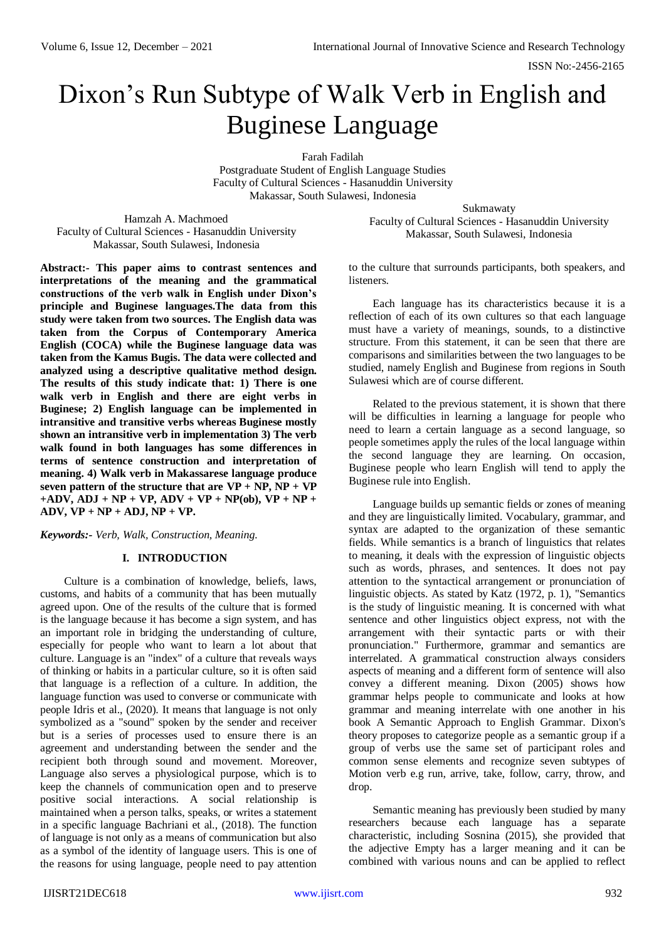# Dixon's Run Subtype of Walk Verb in English and Buginese Language

Farah Fadilah Postgraduate Student of English Language Studies Faculty of Cultural Sciences - Hasanuddin University Makassar, South Sulawesi, Indonesia

Hamzah A. Machmoed Faculty of Cultural Sciences - Hasanuddin University Makassar, South Sulawesi, Indonesia

**Abstract:- This paper aims to contrast sentences and interpretations of the meaning and the grammatical constructions of the verb walk in English under Dixon's principle and Buginese languages.The data from this study were taken from two sources. The English data was taken from the Corpus of Contemporary America English (COCA) while the Buginese language data was taken from the Kamus Bugis. The data were collected and analyzed using a descriptive qualitative method design. The results of this study indicate that: 1) There is one walk verb in English and there are eight verbs in Buginese; 2) English language can be implemented in intransitive and transitive verbs whereas Buginese mostly shown an intransitive verb in implementation 3) The verb walk found in both languages has some differences in terms of sentence construction and interpretation of meaning. 4) Walk verb in Makassarese language produce seven pattern of the structure that are**  $VP + NP$ **,**  $NP + VP$  $+ADV$ ,  $ADJ + NP + VP$ ,  $ADV + VP + NP(ob)$ ,  $VP + NP +$ **ADV, VP + NP + ADJ, NP + VP.** 

*Keywords:- Verb, Walk, Construction, Meaning.*

# **I. INTRODUCTION**

Culture is a combination of knowledge, beliefs, laws, customs, and habits of a community that has been mutually agreed upon. One of the results of the culture that is formed is the language because it has become a sign system, and has an important role in bridging the understanding of culture, especially for people who want to learn a lot about that culture. Language is an "index" of a culture that reveals ways of thinking or habits in a particular culture, so it is often said that language is a reflection of a culture. In addition, the language function was used to converse or communicate with people Idris et al., (2020). It means that language is not only symbolized as a "sound" spoken by the sender and receiver but is a series of processes used to ensure there is an agreement and understanding between the sender and the recipient both through sound and movement. Moreover, Language also serves a physiological purpose, which is to keep the channels of communication open and to preserve positive social interactions. A social relationship is maintained when a person talks, speaks, or writes a statement in a specific language Bachriani et al., (2018). The function of language is not only as a means of communication but also as a symbol of the identity of language users. This is one of the reasons for using language, people need to pay attention

Sukmawaty Faculty of Cultural Sciences - Hasanuddin University Makassar, South Sulawesi, Indonesia

to the culture that surrounds participants, both speakers, and listeners.

Each language has its characteristics because it is a reflection of each of its own cultures so that each language must have a variety of meanings, sounds, to a distinctive structure. From this statement, it can be seen that there are comparisons and similarities between the two languages to be studied, namely English and Buginese from regions in South Sulawesi which are of course different.

Related to the previous statement, it is shown that there will be difficulties in learning a language for people who need to learn a certain language as a second language, so people sometimes apply the rules of the local language within the second language they are learning. On occasion, Buginese people who learn English will tend to apply the Buginese rule into English.

Language builds up semantic fields or zones of meaning and they are linguistically limited. Vocabulary, grammar, and syntax are adapted to the organization of these semantic fields. While semantics is a branch of linguistics that relates to meaning, it deals with the expression of linguistic objects such as words, phrases, and sentences. It does not pay attention to the syntactical arrangement or pronunciation of linguistic objects. As stated by Katz (1972, p. 1), "Semantics is the study of linguistic meaning. It is concerned with what sentence and other linguistics object express, not with the arrangement with their syntactic parts or with their pronunciation." Furthermore, grammar and semantics are interrelated. A grammatical construction always considers aspects of meaning and a different form of sentence will also convey a different meaning. Dixon (2005) shows how grammar helps people to communicate and looks at how grammar and meaning interrelate with one another in his book A Semantic Approach to English Grammar. Dixon's theory proposes to categorize people as a semantic group if a group of verbs use the same set of participant roles and common sense elements and recognize seven subtypes of Motion verb e.g run, arrive, take, follow, carry, throw, and drop.

Semantic meaning has previously been studied by many researchers because each language has a separate characteristic, including Sosnina (2015), she provided that the adjective Empty has a larger meaning and it can be combined with various nouns and can be applied to reflect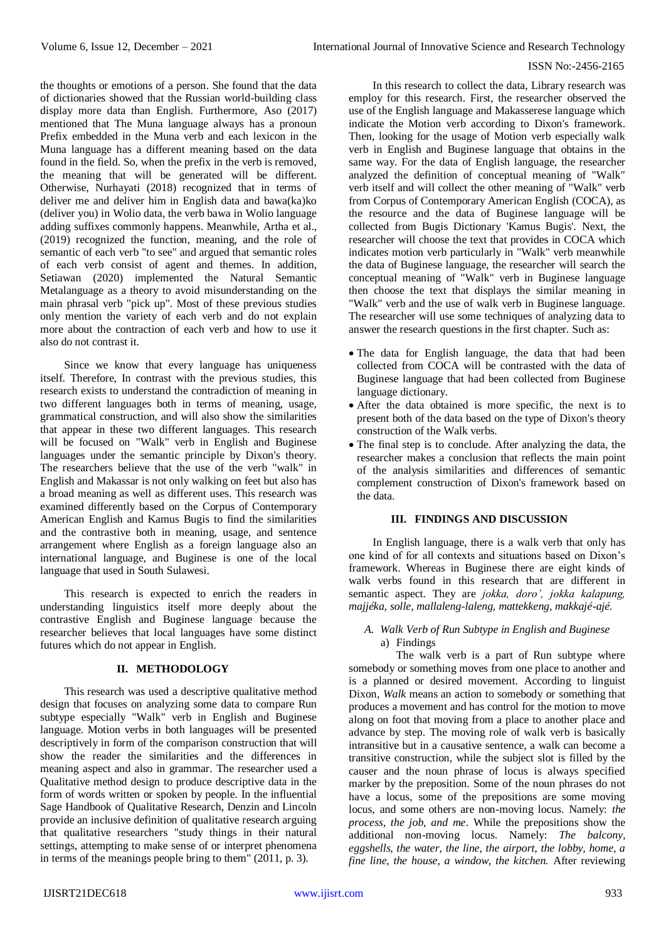### ISSN No:-2456-2165

the thoughts or emotions of a person. She found that the data of dictionaries showed that the Russian world-building class display more data than English. Furthermore, Aso (2017) mentioned that The Muna language always has a pronoun Prefix embedded in the Muna verb and each lexicon in the Muna language has a different meaning based on the data found in the field. So, when the prefix in the verb is removed, the meaning that will be generated will be different. Otherwise, Nurhayati (2018) recognized that in terms of deliver me and deliver him in English data and bawa(ka)ko (deliver you) in Wolio data, the verb bawa in Wolio language adding suffixes commonly happens. Meanwhile, Artha et al., (2019) recognized the function, meaning, and the role of semantic of each verb "to see" and argued that semantic roles of each verb consist of agent and themes. In addition, Setiawan (2020) implemented the Natural Semantic Metalanguage as a theory to avoid misunderstanding on the main phrasal verb "pick up". Most of these previous studies only mention the variety of each verb and do not explain more about the contraction of each verb and how to use it also do not contrast it.

Since we know that every language has uniqueness itself. Therefore, In contrast with the previous studies, this research exists to understand the contradiction of meaning in two different languages both in terms of meaning, usage, grammatical construction, and will also show the similarities that appear in these two different languages. This research will be focused on "Walk" verb in English and Buginese languages under the semantic principle by Dixon's theory. The researchers believe that the use of the verb "walk" in English and Makassar is not only walking on feet but also has a broad meaning as well as different uses. This research was examined differently based on the Corpus of Contemporary American English and Kamus Bugis to find the similarities and the contrastive both in meaning, usage, and sentence arrangement where English as a foreign language also an international language, and Buginese is one of the local language that used in South Sulawesi.

This research is expected to enrich the readers in understanding linguistics itself more deeply about the contrastive English and Buginese language because the researcher believes that local languages have some distinct futures which do not appear in English.

#### **II. METHODOLOGY**

This research was used a descriptive qualitative method design that focuses on analyzing some data to compare Run subtype especially "Walk" verb in English and Buginese language. Motion verbs in both languages will be presented descriptively in form of the comparison construction that will show the reader the similarities and the differences in meaning aspect and also in grammar. The researcher used a Qualitative method design to produce descriptive data in the form of words written or spoken by people. In the influential Sage Handbook of Qualitative Research, Denzin and Lincoln provide an inclusive definition of qualitative research arguing that qualitative researchers "study things in their natural settings, attempting to make sense of or interpret phenomena in terms of the meanings people bring to them" (2011, p. 3).

In this research to collect the data, Library research was employ for this research. First, the researcher observed the use of the English language and Makasserese language which indicate the Motion verb according to Dixon's framework. Then, looking for the usage of Motion verb especially walk verb in English and Buginese language that obtains in the same way. For the data of English language, the researcher analyzed the definition of conceptual meaning of "Walk" verb itself and will collect the other meaning of "Walk" verb from Corpus of Contemporary American English (COCA), as the resource and the data of Buginese language will be collected from Bugis Dictionary 'Kamus Bugis'. Next, the researcher will choose the text that provides in COCA which indicates motion verb particularly in "Walk" verb meanwhile the data of Buginese language, the researcher will search the conceptual meaning of "Walk" verb in Buginese language then choose the text that displays the similar meaning in "Walk" verb and the use of walk verb in Buginese language. The researcher will use some techniques of analyzing data to answer the research questions in the first chapter. Such as:

- The data for English language, the data that had been collected from COCA will be contrasted with the data of Buginese language that had been collected from Buginese language dictionary.
- After the data obtained is more specific, the next is to present both of the data based on the type of Dixon's theory construction of the Walk verbs.
- The final step is to conclude. After analyzing the data, the researcher makes a conclusion that reflects the main point of the analysis similarities and differences of semantic complement construction of Dixon's framework based on the data.

#### **III. FINDINGS AND DISCUSSION**

In English language, there is a walk verb that only has one kind of for all contexts and situations based on Dixon's framework. Whereas in Buginese there are eight kinds of walk verbs found in this research that are different in semantic aspect. They are *jokka, doro', jokka kalapung, majjéka, solle, mallaleng-laleng, mattekkeng, makkajé-ajé.*

# *A. Walk Verb of Run Subtype in English and Buginese* a) Findings

The walk verb is a part of Run subtype where somebody or something moves from one place to another and is a planned or desired movement. According to linguist Dixon, *Walk* means an action to somebody or something that produces a movement and has control for the motion to move along on foot that moving from a place to another place and advance by step. The moving role of walk verb is basically intransitive but in a causative sentence, a walk can become a transitive construction, while the subject slot is filled by the causer and the noun phrase of locus is always specified marker by the preposition. Some of the noun phrases do not have a locus, some of the prepositions are some moving locus, and some others are non-moving locus. Namely: *the process, the job, and me*. While the prepositions show the additional non-moving locus. Namely: *The balcony, eggshells, the water, the line, the airport, the lobby, home, a fine line, the house, a window, the kitchen.* After reviewing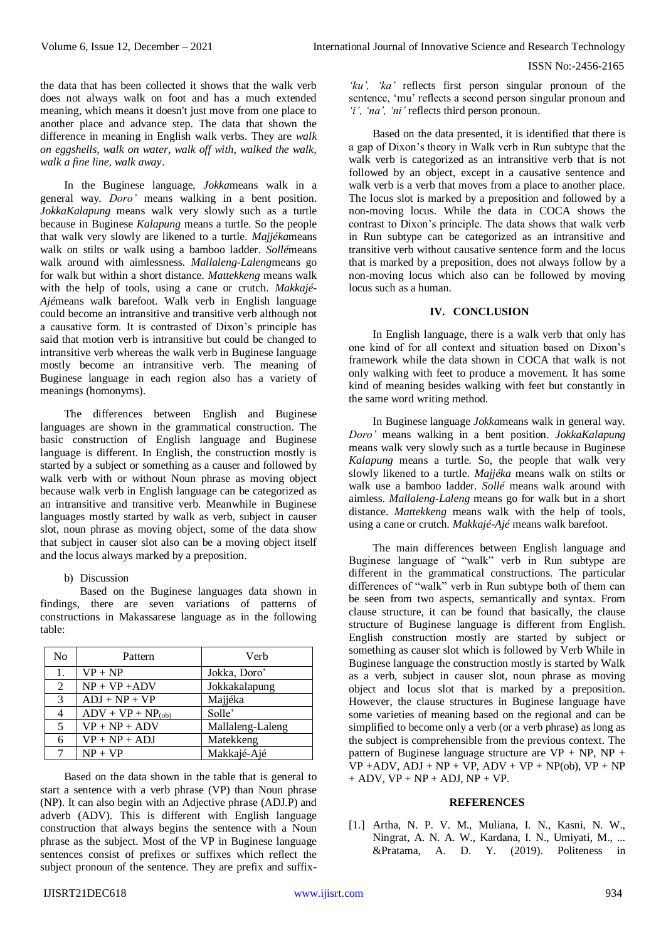the data that has been collected it shows that the walk verb does not always walk on foot and has a much extended meaning, which means it doesn't just move from one place to another place and advance step. The data that shown the difference in meaning in English walk verbs. They are *walk on eggshells, walk on water, walk off with, walked the walk, walk a fine line, walk away*.

In the Buginese language, *Jokka*means walk in a general way. *Doro'* means walking in a bent position. *JokkaKalapung* means walk very slowly such as a turtle because in Buginese *Kalapung* means a turtle. So the people that walk very slowly are likened to a turtle. *Majjéka*means walk on stilts or walk using a bamboo ladder. *Sollé*means walk around with aimlessness. *Mallaleng-Laleng*means go for walk but within a short distance. *Mattekkeng* means walk with the help of tools, using a cane or crutch. *Makkajé-Ajé*means walk barefoot. Walk verb in English language could become an intransitive and transitive verb although not a causative form. It is contrasted of Dixon's principle has said that motion verb is intransitive but could be changed to intransitive verb whereas the walk verb in Buginese language mostly become an intransitive verb. The meaning of Buginese language in each region also has a variety of meanings (homonyms).

The differences between English and Buginese languages are shown in the grammatical construction. The basic construction of English language and Buginese language is different. In English, the construction mostly is started by a subject or something as a causer and followed by walk verb with or without Noun phrase as moving object because walk verb in English language can be categorized as an intransitive and transitive verb. Meanwhile in Buginese languages mostly started by walk as verb, subject in causer slot, noun phrase as moving object, some of the data show that subject in causer slot also can be a moving object itself and the locus always marked by a preposition.

b) Discussion

Based on the Buginese languages data shown in findings, there are seven variations of patterns of constructions in Makassarese language as in the following table:

| No | Pattern             | Verb             |
|----|---------------------|------------------|
| 1. | $VP + NP$           | Jokka, Doro'     |
| 2  | $NP + VP + ADV$     | Jokkakalapung    |
| 3  | $ADJ + NP + VP$     | Majjéka          |
| 4  | $ADV + VP + NP(ob)$ | Solle'           |
| 5  | $VP + NP + ADV$     | Mallaleng-Laleng |
| 6  | $VP + NP + ADJ$     | Matekkeng        |
| 7  | $NP + VP$           | Makkajé-Ajé      |

Based on the data shown in the table that is general to start a sentence with a verb phrase (VP) than Noun phrase (NP). It can also begin with an Adjective phrase (ADJ.P) and adverb (ADV). This is different with English language construction that always begins the sentence with a Noun phrase as the subject. Most of the VP in Buginese language sentences consist of prefixes or suffixes which reflect the subject pronoun of the sentence. They are prefix and suffix-

*'ku', 'ka'* reflects first person singular pronoun of the sentence, 'mu' reflects a second person singular pronoun and *'i', 'na', 'ni'* reflects third person pronoun.

Based on the data presented, it is identified that there is a gap of Dixon's theory in Walk verb in Run subtype that the walk verb is categorized as an intransitive verb that is not followed by an object, except in a causative sentence and walk verb is a verb that moves from a place to another place. The locus slot is marked by a preposition and followed by a non-moving locus. While the data in COCA shows the contrast to Dixon's principle. The data shows that walk verb in Run subtype can be categorized as an intransitive and transitive verb without causative sentence form and the locus that is marked by a preposition, does not always follow by a non-moving locus which also can be followed by moving locus such as a human.

# **IV. CONCLUSION**

In English language, there is a walk verb that only has one kind of for all context and situation based on Dixon's framework while the data shown in COCA that walk is not only walking with feet to produce a movement. It has some kind of meaning besides walking with feet but constantly in the same word writing method.

In Buginese language *Jokka*means walk in general way. *Doro'* means walking in a bent position. *JokkaKalapung* means walk very slowly such as a turtle because in Buginese *Kalapung* means a turtle. So, the people that walk very slowly likened to a turtle. *Majjéka* means walk on stilts or walk use a bamboo ladder. *Sollé* means walk around with aimless. *Mallaleng-Laleng* means go for walk but in a short distance. *Mattekkeng* means walk with the help of tools, using a cane or crutch*. Makkajé-Ajé* means walk barefoot.

The main differences between English language and Buginese language of "walk" verb in Run subtype are different in the grammatical constructions. The particular differences of "walk" verb in Run subtype both of them can be seen from two aspects, semantically and syntax. From clause structure, it can be found that basically, the clause structure of Buginese language is different from English. English construction mostly are started by subject or something as causer slot which is followed by Verb While in Buginese language the construction mostly is started by Walk as a verb, subject in causer slot, noun phrase as moving object and locus slot that is marked by a preposition. However, the clause structures in Buginese language have some varieties of meaning based on the regional and can be simplified to become only a verb (or a verb phrase) as long as the subject is comprehensible from the previous context. The pattern of Buginese language structure are  $VP + NP$ ,  $NP +$  $VP + ADV$ ,  $ADJ + NP + VP$ ,  $ADV + VP + NP(ob)$ ,  $VP + NP$  $+$  ADV, VP  $+$  NP  $+$  ADJ, NP  $+$  VP.

# **REFERENCES**

[1.] Artha, N. P. V. M., Muliana, I. N., Kasni, N. W., Ningrat, A. N. A. W., Kardana, I. N., Umiyati, M., ... &Pratama, A. D. Y. (2019). Politeness in